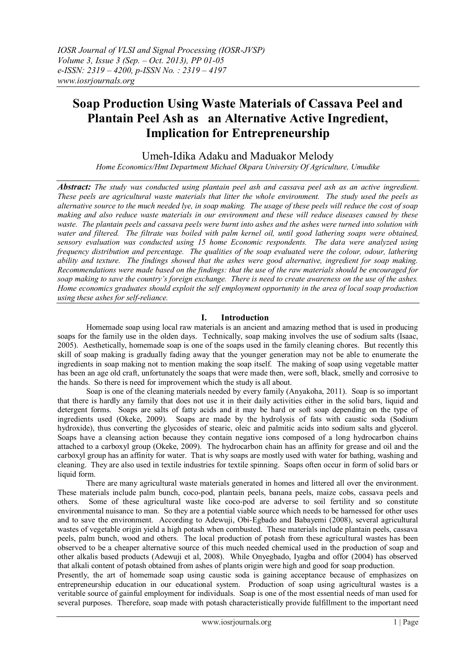## **Soap Production Using Waste Materials of Cassava Peel and Plantain Peel Ash as an Alternative Active Ingredient, Implication for Entrepreneurship**

Umeh-Idika Adaku and Maduakor Melody

*Home Economics/Hmt Department Michael Okpara University Of Agriculture, Umudike*

*Abstract: The study was conducted using plantain peel ash and cassava peel ash as an active ingredient. These peels are agricultural waste materials that litter the whole environment. The study used the peels as alternative source to the much needed lye, in soap making. The usage of these peels will reduce the cost of soap making and also reduce waste materials in our environment and these will reduce diseases caused by these waste. The plantain peels and cassava peels were burnt into ashes and the ashes were turned into solution with*  water and filtered. The filtrate was boiled with palm kernel oil, until good lathering soaps were obtained, *sensory evaluation was conducted using 15 home Economic respondents. The data were analyzed using frequency distribution and percentage. The qualities of the soap evaluated were the colour, odour, lathering ability and texture. The findings showed that the ashes were good alternative, ingredient for soap making. Recommendations were made based on the findings: that the use of the raw materials should be encouraged for soap making to save the country's foreign exchange. There is need to create awareness on the use of the ashes. Home economics graduates should exploit the self employment opportunity in the area of local soap production using these ashes for self-reliance.*

#### **I. Introduction**

Homemade soap using local raw materials is an ancient and amazing method that is used in producing soaps for the family use in the olden days. Technically, soap making involves the use of sodium salts (Isaac, 2005). Aesthetically, homemade soap is one of the soaps used in the family cleaning chores. But recently this skill of soap making is gradually fading away that the younger generation may not be able to enumerate the ingredients in soap making not to mention making the soap itself. The making of soap using vegetable matter has been an age old craft, unfortunately the soaps that were made then, were soft, black, smelly and corrosive to the hands. So there is need for improvement which the study is all about.

Soap is one of the cleaning materials needed by every family (Anyakoha, 2011). Soap is so important that there is hardly any family that does not use it in their daily activities either in the solid bars, liquid and detergent forms. Soaps are salts of fatty acids and it may be hard or soft soap depending on the type of ingredients used (Okeke, 2009). Soaps are made by the hydrolysis of fats with caustic soda (Sodium hydroxide), thus converting the glycosides of stearic, oleic and palmitic acids into sodium salts and glycerol. Soaps have a cleansing action because they contain negative ions composed of a long hydrocarbon chains attached to a carboxyl group (Okeke, 2009). The hydrocarbon chain has an affinity for grease and oil and the carboxyl group has an affinity for water. That is why soaps are mostly used with water for bathing, washing and cleaning. They are also used in textile industries for textile spinning. Soaps often occur in form of solid bars or liquid form.

There are many agricultural waste materials generated in homes and littered all over the environment. These materials include palm bunch, coco-pod, plantain peels, banana peels, maize cobs, cassava peels and others. Some of these agricultural waste like coco-pod are adverse to soil fertility and so constitute environmental nuisance to man. So they are a potential viable source which needs to be harnessed for other uses and to save the environment. According to Adewuji, Obi-Egbado and Babayemi (2008), several agricultural wastes of vegetable origin yield a high potash when combusted. These materials include plantain peels, cassava peels, palm bunch, wood and others. The local production of potash from these agricultural wastes has been observed to be a cheaper alternative source of this much needed chemical used in the production of soap and other alkalis based products (Adewuji et al, 2008). While Onyegbado, Iyagba and offor (2004) has observed that alkali content of potash obtained from ashes of plants origin were high and good for soap production.

Presently, the art of homemade soap using caustic soda is gaining acceptance because of emphasizes on entrepreneurship education in our educational system. Production of soap using agricultural wastes is a veritable source of gainful employment for individuals. Soap is one of the most essential needs of man used for several purposes. Therefore, soap made with potash characteristically provide fulfillment to the important need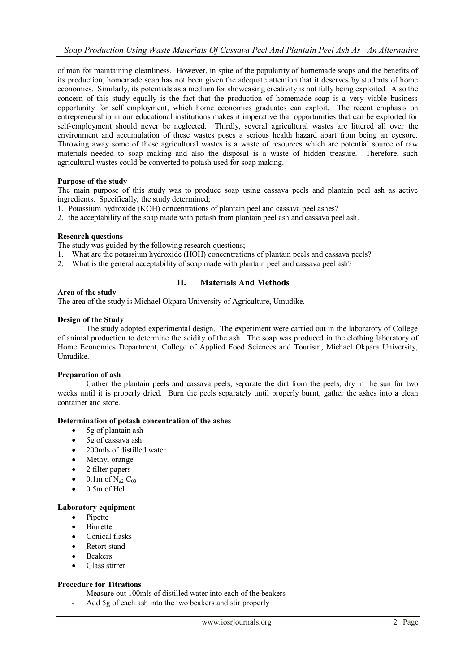of man for maintaining cleanliness. However, in spite of the popularity of homemade soaps and the benefits of its production, homemade soap has not been given the adequate attention that it deserves by students of home economics. Similarly, its potentials as a medium for showcasing creativity is not fully being exploited. Also the concern of this study equally is the fact that the production of homemade soap is a very viable business opportunity for self employment, which home economics graduates can exploit. The recent emphasis on entrepreneurship in our educational institutions makes it imperative that opportunities that can be exploited for self-employment should never be neglected. Thirdly, several agricultural wastes are littered all over the environment and accumulation of these wastes poses a serious health hazard apart from being an eyesore. Throwing away some of these agricultural wastes is a waste of resources which are potential source of raw materials needed to soap making and also the disposal is a waste of hidden treasure. Therefore, such agricultural wastes could be converted to potash used for soap making.

#### **Purpose of the study**

The main purpose of this study was to produce soap using cassava peels and plantain peel ash as active ingredients. Specifically, the study determined;

- 1. Potassium hydroxide (KOH) concentrations of plantain peel and cassava peel ashes?
- 2. the acceptability of the soap made with potash from plantain peel ash and cassava peel ash.

#### **Research questions**

The study was guided by the following research questions;

- 1. What are the potassium hydroxide (HOH) concentrations of plantain peels and cassava peels?
- 2. What is the general acceptability of soap made with plantain peel and cassava peel ash?

#### **II. Materials And Methods**

#### **Area of the study**

The area of the study is Michael Okpara University of Agriculture, Umudike.

#### **Design of the Study**

The study adopted experimental design. The experiment were carried out in the laboratory of College of animal production to determine the acidity of the ash. The soap was produced in the clothing laboratory of Home Economics Department, College of Applied Food Sciences and Tourism, Michael Okpara University, Umudike.

#### **Preparation of ash**

Gather the plantain peels and cassava peels, separate the dirt from the peels, dry in the sun for two weeks until it is properly dried. Burn the peels separately until properly burnt, gather the ashes into a clean container and store.

#### **Determination of potash concentration of the ashes**

- 5g of plantain ash
- 5g of cassava ash
- 200mls of distilled water
- Methyl orange
- 2 filter papers
- $\bullet$  0.1m of N<sub>a2</sub> C<sub>03</sub>
- $\bullet$  0.5m of Hcl

#### **Laboratory equipment**

- Pipette
- Biurette
- Conical flasks
- Retort stand
- Beakers
- Glass stirrer

#### **Procedure for Titrations**

- Measure out 100mls of distilled water into each of the beakers
- Add 5g of each ash into the two beakers and stir properly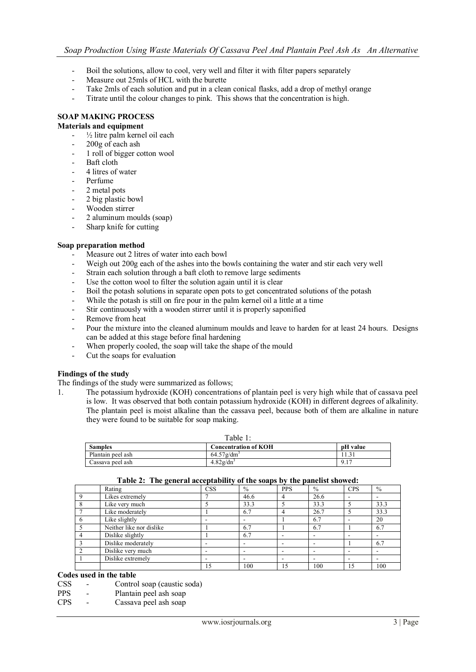- Boil the solutions, allow to cool, very well and filter it with filter papers separately
- Measure out 25mls of HCL with the burette
- Take 2mls of each solution and put in a clean conical flasks, add a drop of methyl orange
- Titrate until the colour changes to pink. This shows that the concentration is high.

### **SOAP MAKING PROCESS**

#### **Materials and equipment**

- $\frac{1}{2}$  litre palm kernel oil each
- 200g of each ash
- 1 roll of bigger cotton wool
- Baft cloth
- 4 litres of water
- Perfume
- 2 metal pots
- 2 big plastic bowl
- Wooden stirrer
- 2 aluminum moulds (soap)
- Sharp knife for cutting

#### **Soap preparation method**

- Measure out 2 litres of water into each bowl
- Weigh out 200g each of the ashes into the bowls containing the water and stir each very well
- Strain each solution through a baft cloth to remove large sediments
- Use the cotton wool to filter the solution again until it is clear
- Boil the potash solutions in separate open pots to get concentrated solutions of the potash
- While the potash is still on fire pour in the palm kernel oil a little at a time
- Stir continuously with a wooden stirrer until it is properly saponified
- Remove from heat
- Pour the mixture into the cleaned aluminum moulds and leave to harden for at least 24 hours. Designs can be added at this stage before final hardening
- When properly cooled, the soap will take the shape of the mould
- Cut the soaps for evaluation

#### **Findings of the study**

The findings of the study were summarized as follows;

1. The potassium hydroxide (KOH) concentrations of plantain peel is very high while that of cassava peel is low. It was observed that both contain potassium hydroxide (KOH) in different degrees of alkalinity. The plantain peel is moist alkaline than the cassava peel, because both of them are alkaline in nature they were found to be suitable for soap making.

| Table 1:          |                             |          |  |  |  |  |
|-------------------|-----------------------------|----------|--|--|--|--|
| <b>Samples</b>    | <b>Concentration of KOH</b> | pH value |  |  |  |  |
| Plantain peel ash | $64.57$ g/dm <sup>3</sup>   |          |  |  |  |  |
| Cassava peel ash  | $4.82$ g/dn <sup>3</sup>    | 9.17     |  |  |  |  |

#### **Table 2: The general acceptability of the soaps by the panelist showed:**

| Rating                   | <b>CSS</b> | $\frac{0}{0}$ | <b>PPS</b> | $\frac{0}{0}$ | <b>CPS</b> | $\frac{0}{0}$ |
|--------------------------|------------|---------------|------------|---------------|------------|---------------|
| Likes extremely          |            | 46.6          | 4          | 26.6          |            |               |
| Like very much           |            | 33.3          |            | 33.3          |            | 33.3          |
| Like moderately          |            | 6.7           |            | 26.7          |            | 33.3          |
| Like slightly            |            |               |            | 6.7           |            | 20            |
| Neither like nor dislike |            | 6.7           |            | 6.7           |            | 6.7           |
| Dislike slightly         |            | 6.7           |            |               |            |               |
| Dislike moderately       | -          | -             |            |               |            | 6.7           |
| Dislike very much        |            |               |            |               |            |               |
| Dislike extremely        |            |               |            |               |            |               |
|                          | 15         | 100           | 15         | 100           | 15         | 100           |

# **Codes used in the table**<br>CSS - Contro

- Control soap (caustic soda)

- PPS Plantain peel ash soap
- CPS Cassava peel ash soap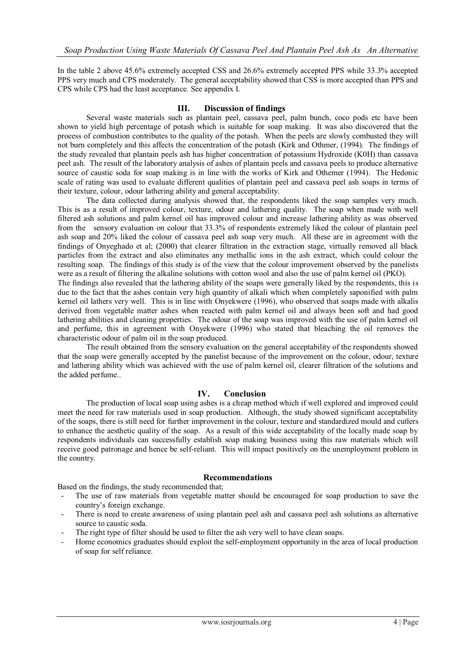In the table 2 above 45.6% extremely accepted CSS and 26.6% extremely accepted PPS while 33.3% accepted PPS very much and CPS moderately. The general acceptability showed that CSS is more accepted than PPS and CPS while CPS had the least acceptance. See appendix I.

#### **III. Discussion of findings**

Several waste materials such as plantain peel, cassava peel, palm bunch, coco pods etc have been shown to yield high percentage of potash which is suitable for soap making. It was also discovered that the process of combustion contributes to the quality of the potash. When the peels are slowly combusted they will not burn completely and this affects the concentration of the potash (Kirk and Othmer, (1994). The findings of the study revealed that plantain peels ash has higher concentration of potassium Hydroxide (K0H) than cassava peel ash. The result of the laboratory analysis of ashes of plantain peels and cassava peels to produce alternative source of caustic soda for soap making is in line with the works of Kirk and Othemer (1994). The Hedonic scale of rating was used to evaluate different qualities of plantain peel and cassava peel ash soaps in terms of their texture, colour, odour lathering ability and general acceptability.

The data collected during analysis showed that, the respondents liked the soap samples very much. This is as a result of improved colour, texture, odour and lathering quality. The soap when made with well filtered ash solutions and palm kernel oil has improved colour and increase lathering ability as was observed from the sensory evaluation on colour that 33.3% of respondents extremely liked the colour of plantain peel ash soap and 20% liked the colour of cassava peel ash soap very much. All these are in agreement with the findings of Onyeghado et al; (2000) that clearer filtration in the extraction stage, virtually removed all black particles from the extract and also eliminates any methallic ions in the ash extract, which could colour the resulting soap. The findings of this study is of the view that the colour improvement observed by the panelists were as a result of filtering the alkaline solutions with cotton wool and also the use of palm kernel oil (PKO).

The findings also revealed that the lathering ability of the soaps were generally liked by the respondents, this is due to the fact that the ashes contain very high quantity of alkali which when completely saponified with palm kernel oil lathers very well. This is in line with Onyekwere (1996), who observed that soaps made with alkalis derived from vegetable matter ashes when reacted with palm kernel oil and always been soft and had good lathering abilities and cleaning properties. The odour of the soap was improved with the use of palm kernel oil and perfume, this in agreement with Onyekwere (1996) who stated that bleaching the oil removes the characteristic odour of palm oil in the soap produced.

The result obtained from the sensory evaluation on the general acceptability of the respondents showed that the soap were generally accepted by the panelist because of the improvement on the colour, odour, texture and lathering ability which was achieved with the use of palm kernel oil, clearer filtration of the solutions and the added perfume..

#### **IV. Conclusion**

The production of local soap using ashes is a cheap method which if well explored and improved could meet the need for raw materials used in soap production. Although, the study showed significant acceptability of the soaps, there is still need for further improvement in the colour, texture and standardized mould and cutlers to enhance the aesthetic quality of the soap. As a result of this wide acceptability of the locally made soap by respondents individuals can successfully establish soap making business using this raw materials which will receive good patronage and hence be self-reliant. This will impact positively on the unemployment problem in the country.

#### **Recommendations**

Based on the findings, the study recommended that;

- The use of raw materials from vegetable matter should be encouraged for soap production to save the country's foreign exchange.
- There is need to create awareness of using plantain peel ash and cassava peel ash solutions as alternative source to caustic soda.
- The right type of filter should be used to filter the ash very well to have clean soaps.
- Home economics graduates should exploit the self-employment opportunity in the area of local production of soap for self reliance.